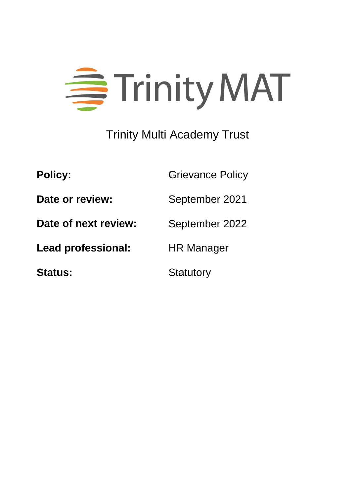

# Trinity Multi Academy Trust

| <b>Policy:</b>            | <b>Grievance Policy</b> |
|---------------------------|-------------------------|
| Date or review:           | September 2021          |
| Date of next review:      | September 2022          |
| <b>Lead professional:</b> | <b>HR Manager</b>       |
| <b>Status:</b>            | <b>Statutory</b>        |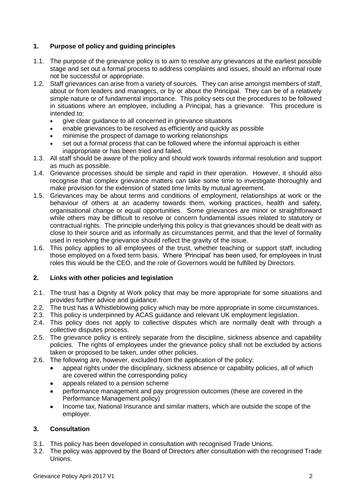## **1. Purpose of policy and guiding principles**

- 1.1. The purpose of the grievance policy is to aim to resolve any grievances at the earliest possible stage and set out a formal process to address complaints and issues, should an informal route not be successful or appropriate.
- 1.2. Staff grievances can arise from a variety of sources. They can arise amongst members of staff, about or from leaders and managers, or by or about the Principal. They can be of a relatively simple nature or of fundamental importance. This policy sets out the procedures to be followed in situations where an employee, including a Principal, has a grievance. This procedure is intended to:
	- give clear guidance to all concerned in grievance situations
	- enable grievances to be resolved as efficiently and quickly as possible
	- minimise the prospect of damage to working relationships
	- set out a formal process that can be followed where the informal approach is either inappropriate or has been tried and failed.
- 1.3. All staff should be aware of the policy and should work towards informal resolution and support as much as possible.
- 1.4. Grievance processes should be simple and rapid in their operation. However, it should also recognise that complex grievance matters can take some time to investigate thoroughly and make provision for the extension of stated time limits by mutual agreement.
- 1.5. Grievances may be about terms and conditions of employment, relationships at work or the behaviour of others at an academy towards them, working practices, health and safety, organisational change or equal opportunities. Some grievances are minor or straightforward while others may be difficult to resolve or concern fundamental issues related to statutory or contractual rights. The principle underlying this policy is that grievances should be dealt with as close to their source and as informally as circumstances permit, and that the level of formality used in resolving the grievance should reflect the gravity of the issue.
- 1.6. This policy applies to all employees of the trust, whether teaching or support staff, including those employed on a fixed term basis. Where 'Principal' has been used, for employees in trust roles this would be the CEO, and the role of Governors would be fulfilled by Directors.

## **2. Links with other policies and legislation**

- 2.1. The trust has a Dignity at Work policy that may be more appropriate for some situations and provides further advice and guidance.
- 2.2. The trust has a Whistleblowing policy which may be more appropriate in some circumstances.
- 2.3. This policy is underpinned by ACAS guidance and relevant UK employment legislation.
- 2.4. This policy does not apply to collective disputes which are normally dealt with through a collective disputes process.
- 2.5. The grievance policy is entirely separate from the discipline, sickness absence and capability policies. The rights of employees under the grievance policy shall not be excluded by actions taken or proposed to be taken, under other policies.
- 2.6. The following are, however, excluded from the application of the policy:
	- appeal rights under the disciplinary, sickness absence or capability policies, all of which are covered within the corresponding policy
	- appeals related to a pension scheme
	- performance management and pay progression outcomes (these are covered in the Performance Management policy)
	- Income tax, National Insurance and similar matters, which are outside the scope of the employer.

## **3. Consultation**

- 3.1. This policy has been developed in consultation with recognised Trade Unions.
- 3.2. The policy was approved by the Board of Directors after consultation with the recognised Trade Unions.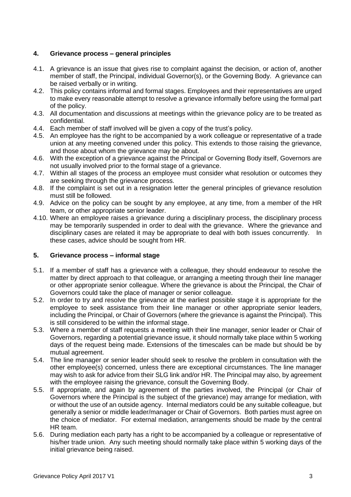### **4. Grievance process – general principles**

- 4.1. A grievance is an issue that gives rise to complaint against the decision, or action of, another member of staff, the Principal, individual Governor(s), or the Governing Body. A grievance can be raised verbally or in writing.
- 4.2. This policy contains informal and formal stages. Employees and their representatives are urged to make every reasonable attempt to resolve a grievance informally before using the formal part of the policy.
- 4.3. All documentation and discussions at meetings within the grievance policy are to be treated as confidential.
- 4.4. Each member of staff involved will be given a copy of the trust's policy.
- 4.5. An employee has the right to be accompanied by a work colleague or representative of a trade union at any meeting convened under this policy. This extends to those raising the grievance, and those about whom the grievance may be about.
- 4.6. With the exception of a grievance against the Principal or Governing Body itself, Governors are not usually involved prior to the formal stage of a grievance.
- 4.7. Within all stages of the process an employee must consider what resolution or outcomes they are seeking through the grievance process.
- 4.8. If the complaint is set out in a resignation letter the general principles of grievance resolution must still be followed.
- 4.9. Advice on the policy can be sought by any employee, at any time, from a member of the HR team, or other appropriate senior leader.
- 4.10. Where an employee raises a grievance during a disciplinary process, the disciplinary process may be temporarily suspended in order to deal with the grievance. Where the grievance and disciplinary cases are related it may be appropriate to deal with both issues concurrently. In these cases, advice should be sought from HR.

#### **5. Grievance process – informal stage**

- 5.1. If a member of staff has a grievance with a colleague, they should endeavour to resolve the matter by direct approach to that colleague, or arranging a meeting through their line manager or other appropriate senior colleague. Where the grievance is about the Principal, the Chair of Governors could take the place of manager or senior colleague.
- 5.2. In order to try and resolve the grievance at the earliest possible stage it is appropriate for the employee to seek assistance from their line manager or other appropriate senior leaders, including the Principal, or Chair of Governors (where the grievance is against the Principal). This is still considered to be within the informal stage.
- 5.3. Where a member of staff requests a meeting with their line manager, senior leader or Chair of Governors, regarding a potential grievance issue, it should normally take place within 5 working days of the request being made. Extensions of the timescales can be made but should be by mutual agreement.
- 5.4. The line manager or senior leader should seek to resolve the problem in consultation with the other employee(s) concerned, unless there are exceptional circumstances. The line manager may wish to ask for advice from their SLG link and/or HR. The Principal may also, by agreement with the employee raising the grievance, consult the Governing Body.
- 5.5. If appropriate, and again by agreement of the parties involved, the Principal (or Chair of Governors where the Principal is the subject of the grievance) may arrange for mediation, with or without the use of an outside agency. Internal mediators could be any suitable colleague, but generally a senior or middle leader/manager or Chair of Governors. Both parties must agree on the choice of mediator. For external mediation, arrangements should be made by the central HR team.
- 5.6. During mediation each party has a right to be accompanied by a colleague or representative of his/her trade union. Any such meeting should normally take place within 5 working days of the initial grievance being raised.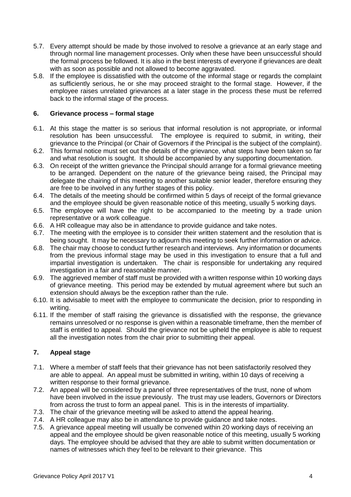- 5.7. Every attempt should be made by those involved to resolve a grievance at an early stage and through normal line management processes. Only when these have been unsuccessful should the formal process be followed. It is also in the best interests of everyone if grievances are dealt with as soon as possible and not allowed to become aggravated.
- 5.8. If the employee is dissatisfied with the outcome of the informal stage or regards the complaint as sufficiently serious, he or she may proceed straight to the formal stage. However, if the employee raises unrelated grievances at a later stage in the process these must be referred back to the informal stage of the process.

#### **6. Grievance process – formal stage**

- 6.1. At this stage the matter is so serious that informal resolution is not appropriate, or informal resolution has been unsuccessful. The employee is required to submit, in writing, their grievance to the Principal (or Chair of Governors if the Principal is the subject of the complaint).
- 6.2. This formal notice must set out the details of the grievance, what steps have been taken so far and what resolution is sought. It should be accompanied by any supporting documentation.
- 6.3. On receipt of the written grievance the Principal should arrange for a formal grievance meeting to be arranged. Dependent on the nature of the grievance being raised, the Principal may delegate the chairing of this meeting to another suitable senior leader, therefore ensuring they are free to be involved in any further stages of this policy.
- 6.4. The details of the meeting should be confirmed within 5 days of receipt of the formal grievance and the employee should be given reasonable notice of this meeting, usually 5 working days.
- 6.5. The employee will have the right to be accompanied to the meeting by a trade union representative or a work colleague.
- 6.6. A HR colleague may also be in attendance to provide guidance and take notes.
- 6.7. The meeting with the employee is to consider their written statement and the resolution that is being sought. It may be necessary to adjourn this meeting to seek further information or advice.
- 6.8. The chair may choose to conduct further research and interviews. Any information or documents from the previous informal stage may be used in this investigation to ensure that a full and impartial investigation is undertaken. The chair is responsible for undertaking any required investigation in a fair and reasonable manner.
- 6.9. The aggrieved member of staff must be provided with a written response within 10 working days of grievance meeting. This period may be extended by mutual agreement where but such an extension should always be the exception rather than the rule.
- 6.10. It is advisable to meet with the employee to communicate the decision, prior to responding in writing.
- 6.11. If the member of staff raising the grievance is dissatisfied with the response, the grievance remains unresolved or no response is given within a reasonable timeframe, then the member of staff is entitled to appeal. Should the grievance not be upheld the employee is able to request all the investigation notes from the chair prior to submitting their appeal.

#### **7. Appeal stage**

- 7.1. Where a member of staff feels that their grievance has not been satisfactorily resolved they are able to appeal. An appeal must be submitted in writing, within 10 days of receiving a written response to their formal grievance.
- 7.2. An appeal will be considered by a panel of three representatives of the trust, none of whom have been involved in the issue previously. The trust may use leaders, Governors or Directors from across the trust to form an appeal panel. This is in the interests of impartiality.
- 7.3. The chair of the grievance meeting will be asked to attend the appeal hearing.
- 7.4. A HR colleague may also be in attendance to provide guidance and take notes.
- 7.5. A grievance appeal meeting will usually be convened within 20 working days of receiving an appeal and the employee should be given reasonable notice of this meeting, usually 5 working days. The employee should be advised that they are able to submit written documentation or names of witnesses which they feel to be relevant to their grievance. This